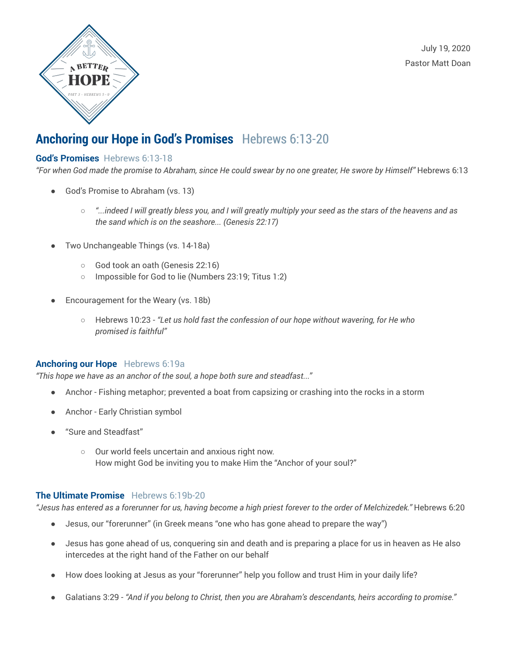



## **Anchoring our Hope in God's Promises** Hebrews 6:13-20

#### **God's Promises** Hebrews 6:13-18

"For when God made the promise to Abraham, since He could swear by no one greater, He swore by Himself" Hebrews 6:13

- God's Promise to Abraham (vs. 13)
	- $\circ$  "...indeed I will greatly bless you, and I will greatly multiply your seed as the stars of the heavens and as *the sand which is on the seashore... (Genesis 22:17)*
- Two Unchangeable Things (vs. 14-18a)
	- God took an oath (Genesis 22:16)
	- Impossible for God to lie (Numbers 23:19; Titus 1:2)
- Encouragement for the Weary (vs. 18b)
	- Hebrews 10:23 *"Let us hold fast the confession of our hope without wavering, for He who promised is faithful"*

#### **Anchoring our Hope** Hebrews 6:19a

*"This hope we have as an anchor of the soul, a hope both sure and steadfast..."*

- Anchor Fishing metaphor; prevented a boat from capsizing or crashing into the rocks in a storm
- Anchor Early Christian symbol
- "Sure and Steadfast"
	- Our world feels uncertain and anxious right now. How might God be inviting you to make Him the "Anchor of your soul?"

#### **The Ultimate Promise** Hebrews 6:19b-20

"Jesus has entered as a forerunner for us, having become a high priest forever to the order of Melchizedek." Hebrews 6:20

- Jesus, our "forerunner" (in Greek means "one who has gone ahead to prepare the way")
- Jesus has gone ahead of us, conquering sin and death and is preparing a place for us in heaven as He also intercedes at the right hand of the Father on our behalf
- How does looking at Jesus as your "forerunner" help you follow and trust Him in your daily life?
- Galatians 3:29 *"And if you belong to Christ, then you are Abraham's descendants, heirs according to promise."*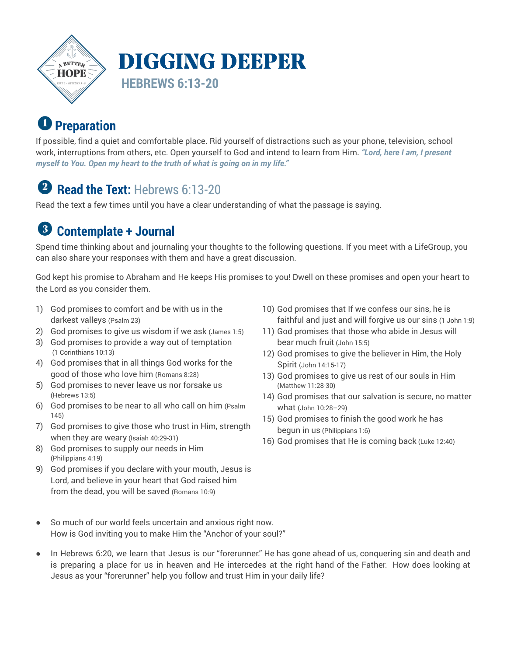

# **P** Preparation

If possible, find a quiet and comfortable place. Rid yourself of distractions such as your phone, television, school work, interruptions from others, etc. Open yourself to God and intend to learn from Him. *"Lord, here I am, I present myself to You. Open my heart to the truth of what is going on in my life."* 

# **2** Read the Text: Hebrews 6:13-20

Read the text a few times until you have a clear understanding of what the passage is saying.

#### $\left(3\right)$ **Contemplate + Journal**

Spend time thinking about and journaling your thoughts to the following questions. If you meet with a LifeGroup, you can also share your responses with them and have a great discussion.

God kept his promise to Abraham and He keeps His promises to you! Dwell on these promises and open your heart to the Lord as you consider them.

- 1) God promises to comfort and be with us in the darkest valleys (Psalm 23)
- 2) God promises to give us wisdom if we ask (James 1:5)
- 3) God promises to provide a way out of temptation (1 Corinthians 10:13)
- 4) God promises that in all things God works for the good of those who love him (Romans 8:28)
- 5) God promises to never leave us nor forsake us (Hebrews 13:5)
- 6) God promises to be near to all who call on him (Psalm 145)
- 7) God promises to give those who trust in Him, strength when they are weary (Isaiah 40:29-31)
- 8) God promises to supply our needs in Him (Philippians 4:19)
- 9) God promises if you declare with your mouth, Jesus is Lord, and believe in your heart that God raised him from the dead, you will be saved (Romans 10:9)
- 10) God promises that If we confess our sins, he is faithful and just and will forgive us our sins (1 John 1:9)
- 11) God promises that those who abide in Jesus will bear much fruit (John 15:5)
- 12) God promises to give the believer in Him, the Holy Spirit (John 14:15-17)
- 13) God promises to give us rest of our souls in Him (Matthew 11:28-30)
- 14) God promises that our salvation is secure, no matter what (John 10:28–29)
- 15) God promises to finish the good work he has begun in us (Philippians 1:6)
- 16) God promises that He is coming back (Luke 12:40)

- So much of our world feels uncertain and anxious right now. How is God inviting you to make Him the "Anchor of your soul?"
- In Hebrews 6:20, we learn that Jesus is our "forerunner." He has gone ahead of us, conquering sin and death and is preparing a place for us in heaven and He intercedes at the right hand of the Father. How does looking at Jesus as your "forerunner" help you follow and trust Him in your daily life?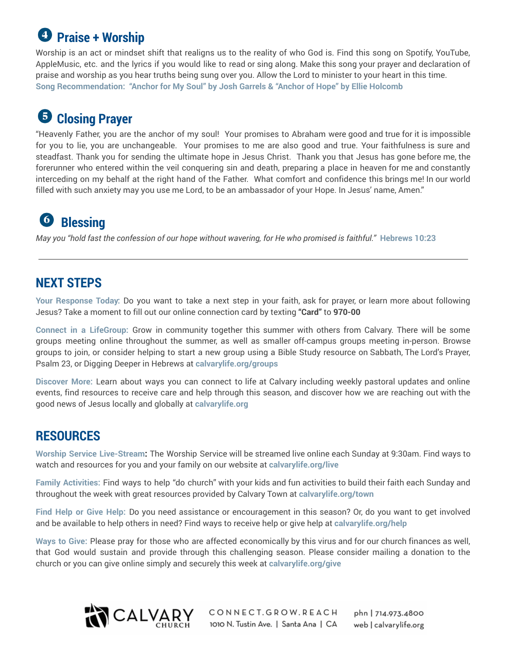# **Praise + Worship**

Worship is an act or mindset shift that realigns us to the reality of who God is. Find this song on Spotify, YouTube, AppleMusic, etc. and the lyrics if you would like to read or sing along. Make this song your prayer and declaration of praise and worship as you hear truths being sung over you. Allow the Lord to minister to your heart in this time. **Song Recommendation: "Anchor for My Soul" by Josh Garrels & "Anchor of Hope" by Ellie Holcomb**

## **Closing Prayer**

"Heavenly Father, you are the anchor of my soul! Your promises to Abraham were good and true for it is impossible for you to lie, you are unchangeable. Your promises to me are also good and true. Your faithfulness is sure and steadfast. Thank you for sending the ultimate hope in Jesus Christ. Thank you that Jesus has gone before me, the forerunner who entered within the veil conquering sin and death, preparing a place in heaven for me and constantly interceding on my behalf at the right hand of the Father. What comfort and confidence this brings me! In our world filled with such anxiety may you use me Lord, to be an ambassador of your Hope. In Jesus' name, Amen."

# **Blessing**

May you "hold fast the confession of our hope without wavering, for He who promised is faithful." Hebrews 10:23

## **NEXT STEPS**

**Your Response Today:** Do you want to take a next step in your faith, ask for prayer, or learn more about following Jesus? Take a moment to fill out our online connection card by texting **"Card"** to **970-00** 

**Connect in a LifeGroup:** Grow in community together this summer with others from Calvary. There will be some groups meeting online throughout the summer, as well as smaller off-campus groups meeting in-person. Browse groups to join, or consider helping to start a new group using a Bible Study resource on Sabbath, The Lord's Prayer, Psalm 23, or Digging Deeper in Hebrews at **calvarylife.org/groups**

**Discover More:** Learn about ways you can connect to life at Calvary including weekly pastoral updates and online events, find resources to receive care and help through this season, and discover how we are reaching out with the good news of Jesus locally and globally at **calvarylife.org**

### **RESOURCES**

**Worship Service Live-Stream:** The Worship Service will be streamed live online each Sunday at 9:30am. Find ways to watch and resources for you and your family on our website at **calvarylife.org/live**

**Family Activities:** Find ways to help "do church" with your kids and fun activities to build their faith each Sunday and throughout the week with great resources provided by Calvary Town at **calvarylife.org/town**

**Find Help or Give Help:** Do you need assistance or encouragement in this season? Or, do you want to get involved and be available to help others in need? Find ways to receive help or give help at **calvarylife.org/help**

**Ways to Give:** Please pray for those who are affected economically by this virus and for our church finances as well, that God would sustain and provide through this challenging season. Please consider mailing a donation to the church or you can give online simply and securely this week at **calvarylife.org/give**



CONNECT.GROW.REACH phn | 714.973.4800 1010 N. Tustin Ave. | Santa Ana | CA web | calvarylife.org